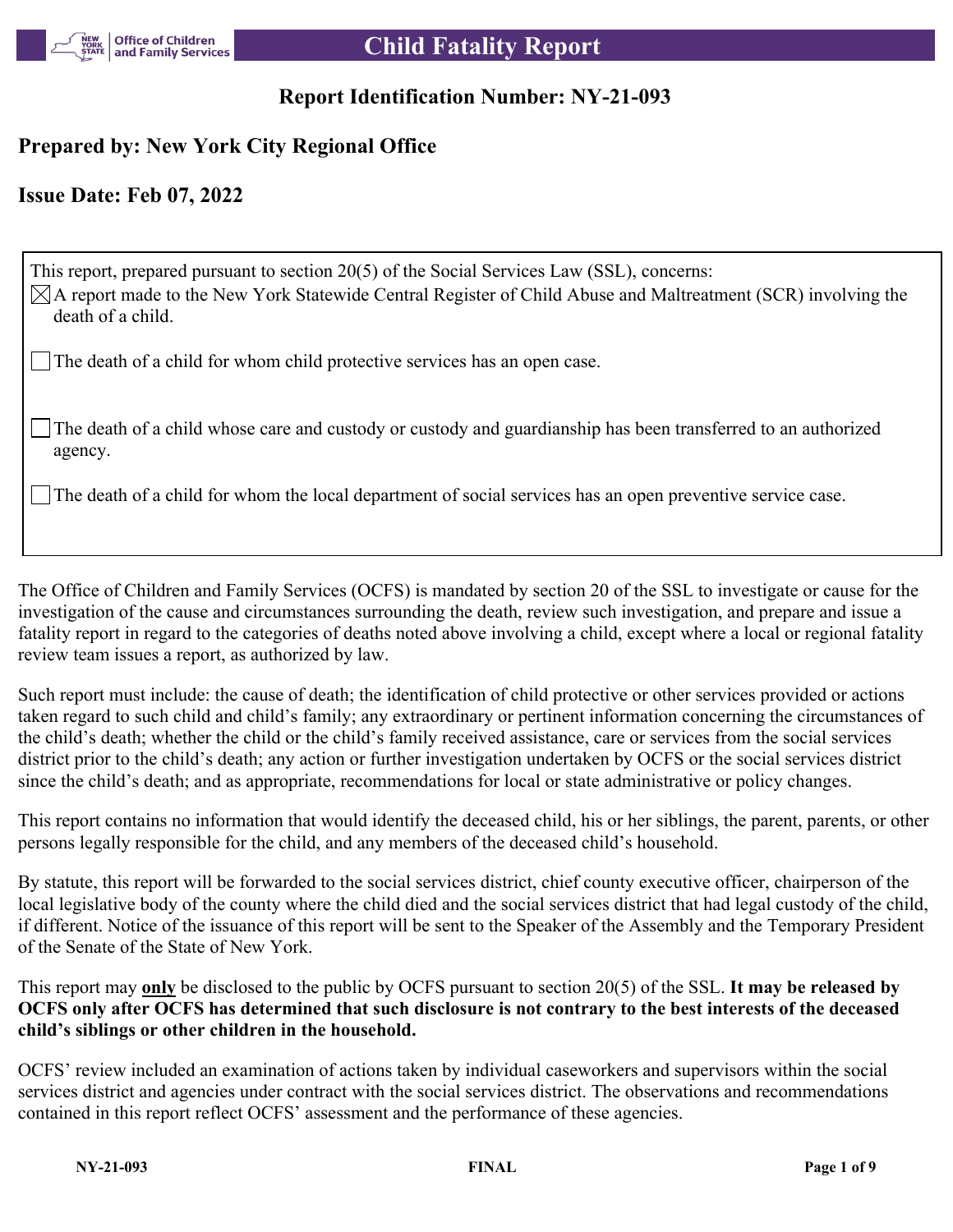

# **Report Identification Number: NY-21-093**

# **Prepared by: New York City Regional Office**

# **Issue Date: Feb 07, 2022**

This report, prepared pursuant to section 20(5) of the Social Services Law (SSL), concerns:  $\boxtimes$ A report made to the New York Statewide Central Register of Child Abuse and Maltreatment (SCR) involving the death of a child. The death of a child for whom child protective services has an open case.

The death of a child whose care and custody or custody and guardianship has been transferred to an authorized agency.

The death of a child for whom the local department of social services has an open preventive service case.

The Office of Children and Family Services (OCFS) is mandated by section 20 of the SSL to investigate or cause for the investigation of the cause and circumstances surrounding the death, review such investigation, and prepare and issue a fatality report in regard to the categories of deaths noted above involving a child, except where a local or regional fatality review team issues a report, as authorized by law.

Such report must include: the cause of death; the identification of child protective or other services provided or actions taken regard to such child and child's family; any extraordinary or pertinent information concerning the circumstances of the child's death; whether the child or the child's family received assistance, care or services from the social services district prior to the child's death; any action or further investigation undertaken by OCFS or the social services district since the child's death; and as appropriate, recommendations for local or state administrative or policy changes.

This report contains no information that would identify the deceased child, his or her siblings, the parent, parents, or other persons legally responsible for the child, and any members of the deceased child's household.

By statute, this report will be forwarded to the social services district, chief county executive officer, chairperson of the local legislative body of the county where the child died and the social services district that had legal custody of the child, if different. Notice of the issuance of this report will be sent to the Speaker of the Assembly and the Temporary President of the Senate of the State of New York.

This report may **only** be disclosed to the public by OCFS pursuant to section 20(5) of the SSL. **It may be released by OCFS only after OCFS has determined that such disclosure is not contrary to the best interests of the deceased child's siblings or other children in the household.**

OCFS' review included an examination of actions taken by individual caseworkers and supervisors within the social services district and agencies under contract with the social services district. The observations and recommendations contained in this report reflect OCFS' assessment and the performance of these agencies.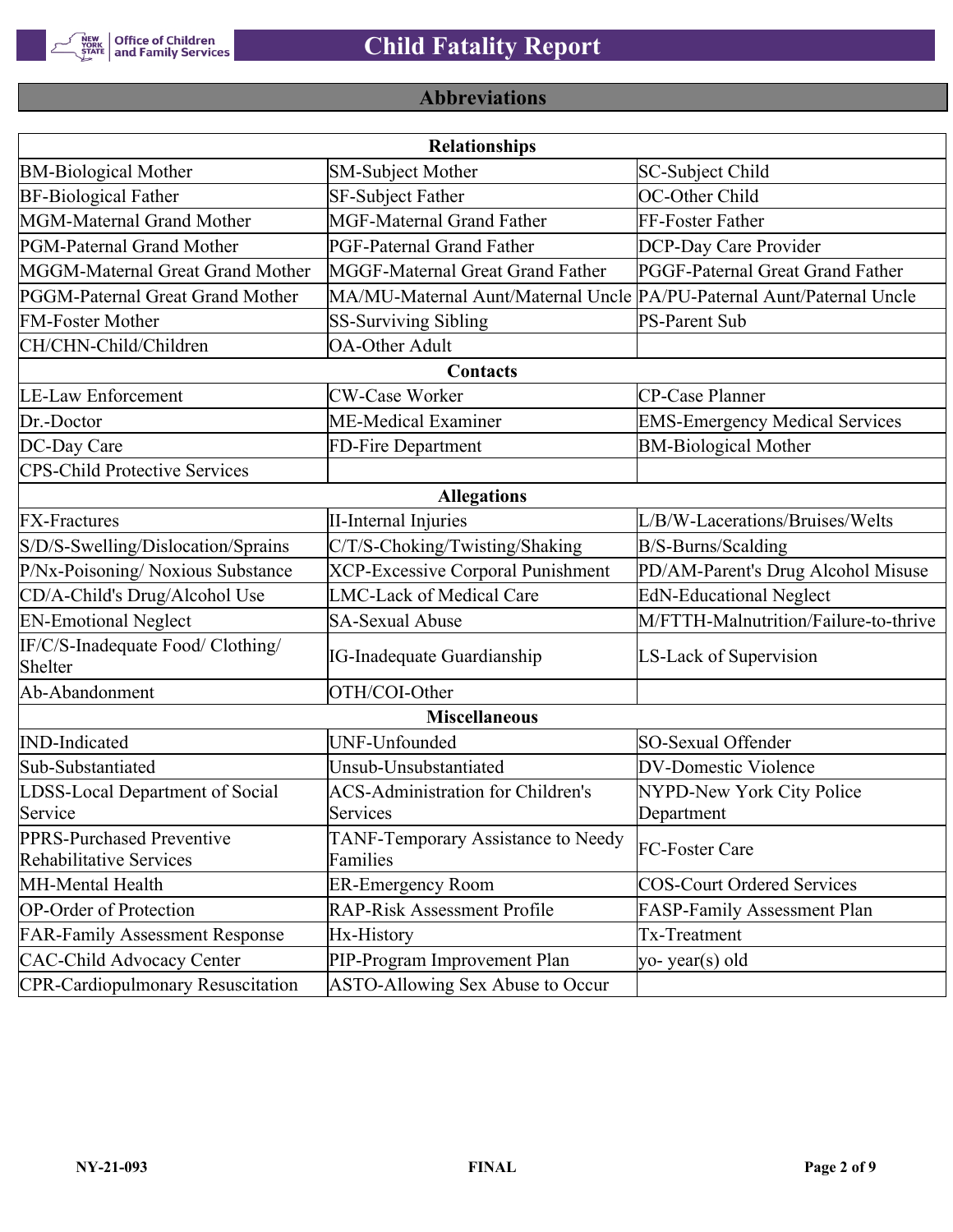

# **Abbreviations**

| <b>Relationships</b>                                 |                                                                       |                                       |  |  |  |  |
|------------------------------------------------------|-----------------------------------------------------------------------|---------------------------------------|--|--|--|--|
| <b>BM-Biological Mother</b>                          | <b>SM-Subject Mother</b>                                              | SC-Subject Child                      |  |  |  |  |
| <b>BF-Biological Father</b>                          | SF-Subject Father                                                     | OC-Other Child                        |  |  |  |  |
| MGM-Maternal Grand Mother                            | <b>MGF-Maternal Grand Father</b>                                      | FF-Foster Father                      |  |  |  |  |
| PGM-Paternal Grand Mother                            | PGF-Paternal Grand Father                                             | DCP-Day Care Provider                 |  |  |  |  |
| MGGM-Maternal Great Grand Mother                     | MGGF-Maternal Great Grand Father                                      | PGGF-Paternal Great Grand Father      |  |  |  |  |
| PGGM-Paternal Great Grand Mother                     | MA/MU-Maternal Aunt/Maternal Uncle PA/PU-Paternal Aunt/Paternal Uncle |                                       |  |  |  |  |
| <b>FM-Foster Mother</b>                              | <b>SS-Surviving Sibling</b>                                           | <b>PS-Parent Sub</b>                  |  |  |  |  |
| CH/CHN-Child/Children                                | <b>OA-Other Adult</b>                                                 |                                       |  |  |  |  |
|                                                      | Contacts                                                              |                                       |  |  |  |  |
| <b>LE-Law Enforcement</b>                            | <b>CW-Case Worker</b>                                                 | CP-Case Planner                       |  |  |  |  |
| Dr.-Doctor                                           | ME-Medical Examiner                                                   | <b>EMS-Emergency Medical Services</b> |  |  |  |  |
| DC-Day Care                                          | FD-Fire Department                                                    | <b>BM-Biological Mother</b>           |  |  |  |  |
| <b>CPS-Child Protective Services</b>                 |                                                                       |                                       |  |  |  |  |
|                                                      | <b>Allegations</b>                                                    |                                       |  |  |  |  |
| <b>FX-Fractures</b>                                  | <b>II-Internal Injuries</b>                                           | L/B/W-Lacerations/Bruises/Welts       |  |  |  |  |
| S/D/S-Swelling/Dislocation/Sprains                   | C/T/S-Choking/Twisting/Shaking                                        | B/S-Burns/Scalding                    |  |  |  |  |
| P/Nx-Poisoning/ Noxious Substance                    | <b>XCP-Excessive Corporal Punishment</b>                              | PD/AM-Parent's Drug Alcohol Misuse    |  |  |  |  |
| CD/A-Child's Drug/Alcohol Use                        | <b>LMC-Lack of Medical Care</b>                                       | <b>EdN-Educational Neglect</b>        |  |  |  |  |
| <b>EN-Emotional Neglect</b>                          | <b>SA-Sexual Abuse</b>                                                | M/FTTH-Malnutrition/Failure-to-thrive |  |  |  |  |
| IF/C/S-Inadequate Food/ Clothing/<br>Shelter         | <b>IG-Inadequate Guardianship</b>                                     | LS-Lack of Supervision                |  |  |  |  |
| Ab-Abandonment                                       | OTH/COI-Other                                                         |                                       |  |  |  |  |
|                                                      | <b>Miscellaneous</b>                                                  |                                       |  |  |  |  |
| <b>IND-Indicated</b>                                 | UNF-Unfounded                                                         | SO-Sexual Offender                    |  |  |  |  |
| Sub-Substantiated                                    | Unsub-Unsubstantiated                                                 | <b>DV-Domestic Violence</b>           |  |  |  |  |
| LDSS-Local Department of Social                      | <b>ACS-Administration for Children's</b>                              | NYPD-New York City Police             |  |  |  |  |
| Service                                              | Services                                                              | Department                            |  |  |  |  |
| PPRS-Purchased Preventive<br>Rehabilitative Services | TANF-Temporary Assistance to Needy<br>Families                        | FC-Foster Care                        |  |  |  |  |
| MH-Mental Health                                     | <b>ER-Emergency Room</b>                                              | <b>COS-Court Ordered Services</b>     |  |  |  |  |
| <b>OP-Order of Protection</b>                        | <b>RAP-Risk Assessment Profile</b>                                    | FASP-Family Assessment Plan           |  |  |  |  |
| <b>FAR-Family Assessment Response</b>                | Hx-History                                                            | Tx-Treatment                          |  |  |  |  |
| <b>CAC-Child Advocacy Center</b>                     | PIP-Program Improvement Plan                                          | yo-year(s) old                        |  |  |  |  |
| <b>CPR-Cardiopulmonary Resuscitation</b>             | ASTO-Allowing Sex Abuse to Occur                                      |                                       |  |  |  |  |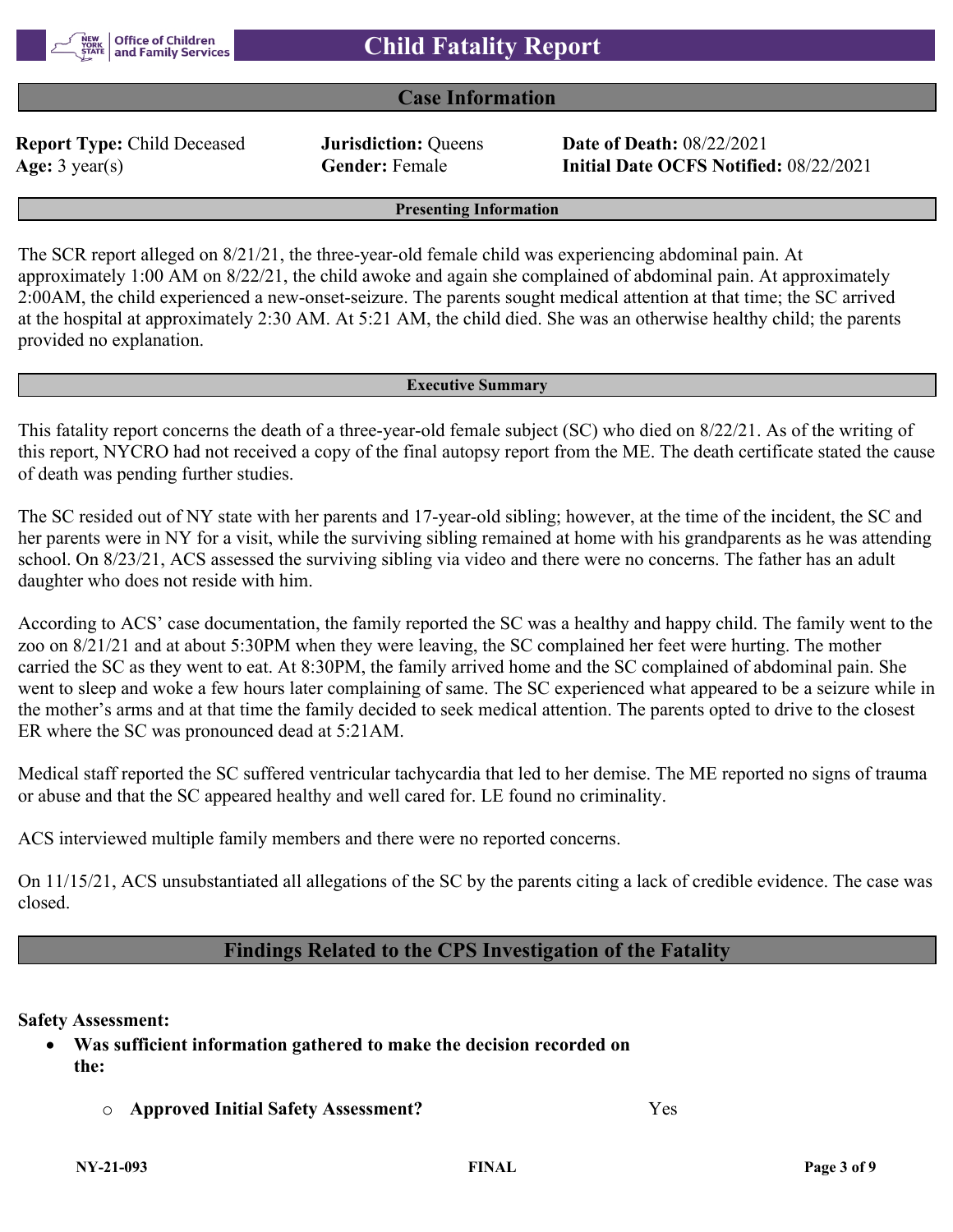

## **Case Information**

**Report Type:** Child Deceased **Jurisdiction:** Queens **Date of Death:** 08/22/2021

**Age:** 3 year(s) **Gender:** Female **Initial Date OCFS Notified:** 08/22/2021

**Presenting Information**

The SCR report alleged on 8/21/21, the three-year-old female child was experiencing abdominal pain. At approximately 1:00 AM on 8/22/21, the child awoke and again she complained of abdominal pain. At approximately 2:00AM, the child experienced a new-onset-seizure. The parents sought medical attention at that time; the SC arrived at the hospital at approximately 2:30 AM. At 5:21 AM, the child died. She was an otherwise healthy child; the parents provided no explanation.

#### **Executive Summary**

This fatality report concerns the death of a three-year-old female subject (SC) who died on 8/22/21. As of the writing of this report, NYCRO had not received a copy of the final autopsy report from the ME. The death certificate stated the cause of death was pending further studies.

The SC resided out of NY state with her parents and 17-year-old sibling; however, at the time of the incident, the SC and her parents were in NY for a visit, while the surviving sibling remained at home with his grandparents as he was attending school. On 8/23/21, ACS assessed the surviving sibling via video and there were no concerns. The father has an adult daughter who does not reside with him.

According to ACS' case documentation, the family reported the SC was a healthy and happy child. The family went to the zoo on 8/21/21 and at about 5:30PM when they were leaving, the SC complained her feet were hurting. The mother carried the SC as they went to eat. At 8:30PM, the family arrived home and the SC complained of abdominal pain. She went to sleep and woke a few hours later complaining of same. The SC experienced what appeared to be a seizure while in the mother's arms and at that time the family decided to seek medical attention. The parents opted to drive to the closest ER where the SC was pronounced dead at 5:21AM.

Medical staff reported the SC suffered ventricular tachycardia that led to her demise. The ME reported no signs of trauma or abuse and that the SC appeared healthy and well cared for. LE found no criminality.

ACS interviewed multiple family members and there were no reported concerns.

On 11/15/21, ACS unsubstantiated all allegations of the SC by the parents citing a lack of credible evidence. The case was closed.

## **Findings Related to the CPS Investigation of the Fatality**

#### **Safety Assessment:**

- **Was sufficient information gathered to make the decision recorded on the:**
	- o **Approved Initial Safety Assessment?** Yes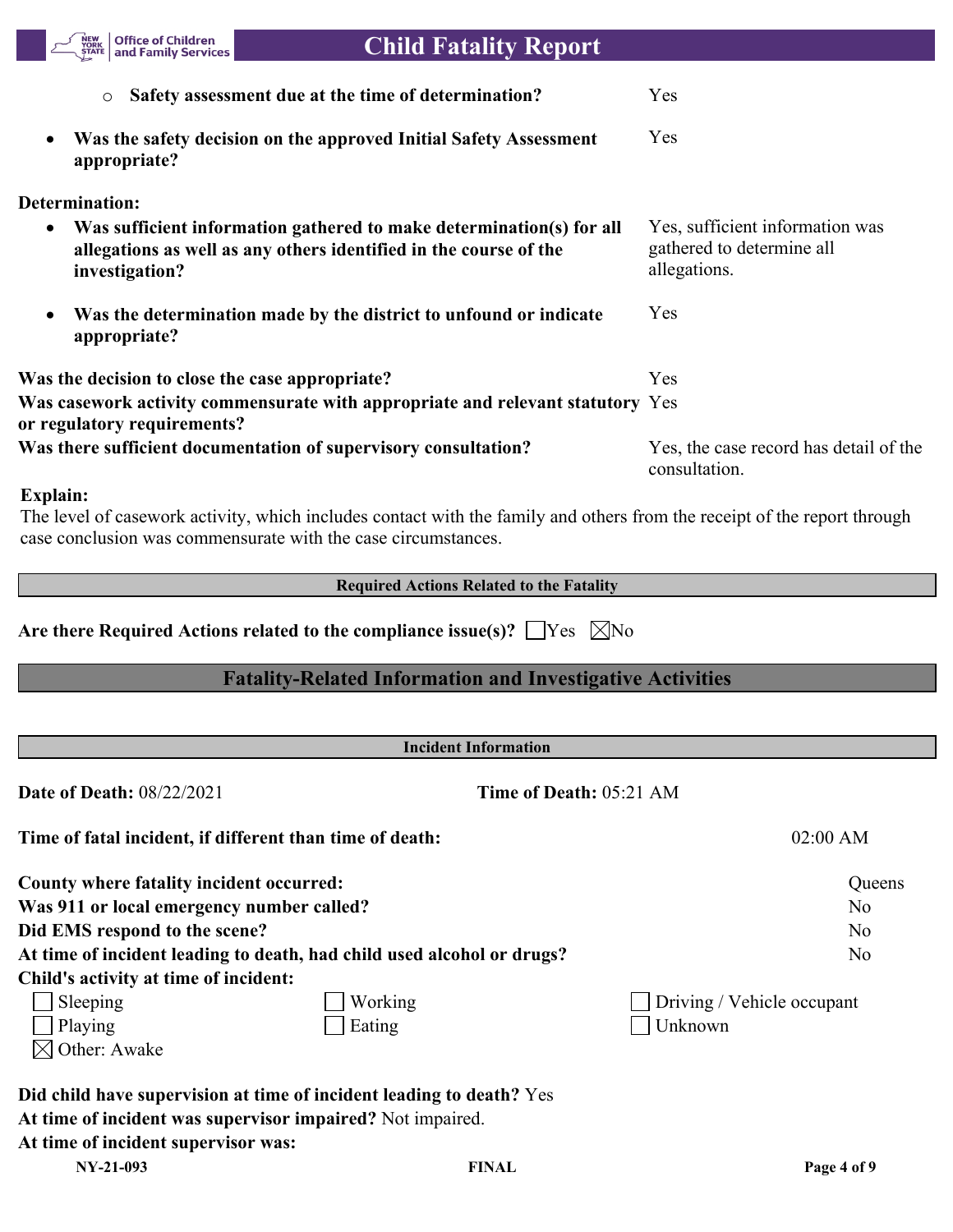| <b>Office of Children</b><br><b>NEW</b><br>YORK<br>and Family Services<br><b>STATE</b> | <b>Child Fatality Report</b>                                                                                                              |                                                                              |
|----------------------------------------------------------------------------------------|-------------------------------------------------------------------------------------------------------------------------------------------|------------------------------------------------------------------------------|
| $\circ$                                                                                | Safety assessment due at the time of determination?                                                                                       | Yes                                                                          |
| $\bullet$<br>appropriate?                                                              | Was the safety decision on the approved Initial Safety Assessment                                                                         | Yes                                                                          |
| Determination:                                                                         |                                                                                                                                           |                                                                              |
| ٠<br>investigation?                                                                    | Was sufficient information gathered to make determination(s) for all<br>allegations as well as any others identified in the course of the | Yes, sufficient information was<br>gathered to determine all<br>allegations. |
| $\bullet$<br>appropriate?                                                              | Was the determination made by the district to unfound or indicate                                                                         | Yes                                                                          |
| Was the decision to close the case appropriate?                                        |                                                                                                                                           | Yes                                                                          |
| or regulatory requirements?                                                            | Was casework activity commensurate with appropriate and relevant statutory Yes                                                            |                                                                              |
|                                                                                        | Was there sufficient documentation of supervisory consultation?                                                                           | Yes, the case record has detail of the<br>consultation.                      |

### **Explain:**

The level of casework activity, which includes contact with the family and others from the receipt of the report through case conclusion was commensurate with the case circumstances.

**Required Actions Related to the Fatality**

Are there Required Actions related to the compliance issue(s)?  $\Box$  Yes  $\Box$  No

# **Fatality-Related Information and Investigative Activities**

| <b>Incident Information</b>                                            |         |                                |                            |  |  |
|------------------------------------------------------------------------|---------|--------------------------------|----------------------------|--|--|
| <b>Date of Death: 08/22/2021</b>                                       |         | <b>Time of Death: 05:21 AM</b> |                            |  |  |
| Time of fatal incident, if different than time of death:               |         |                                | $02:00$ AM                 |  |  |
| County where fatality incident occurred:                               |         |                                | Queens                     |  |  |
| Was 911 or local emergency number called?                              |         |                                | N <sub>o</sub>             |  |  |
| Did EMS respond to the scene?                                          |         |                                | N <sub>o</sub>             |  |  |
| At time of incident leading to death, had child used alcohol or drugs? |         |                                | N <sub>o</sub>             |  |  |
| Child's activity at time of incident:                                  |         |                                |                            |  |  |
| Sleeping                                                               | Working |                                | Driving / Vehicle occupant |  |  |
| Playing                                                                | Eating  |                                | Unknown                    |  |  |
| $\bowtie$ Other: Awake                                                 |         |                                |                            |  |  |
| Did child have supervision at time of incident leading to death? Yes   |         |                                |                            |  |  |
| At time of incident was supervisor impaired? Not impaired.             |         |                                |                            |  |  |
| At time of incident supervisor was:                                    |         |                                |                            |  |  |
| NY-21-093                                                              |         | <b>FINAL</b>                   | Page 4 of 9                |  |  |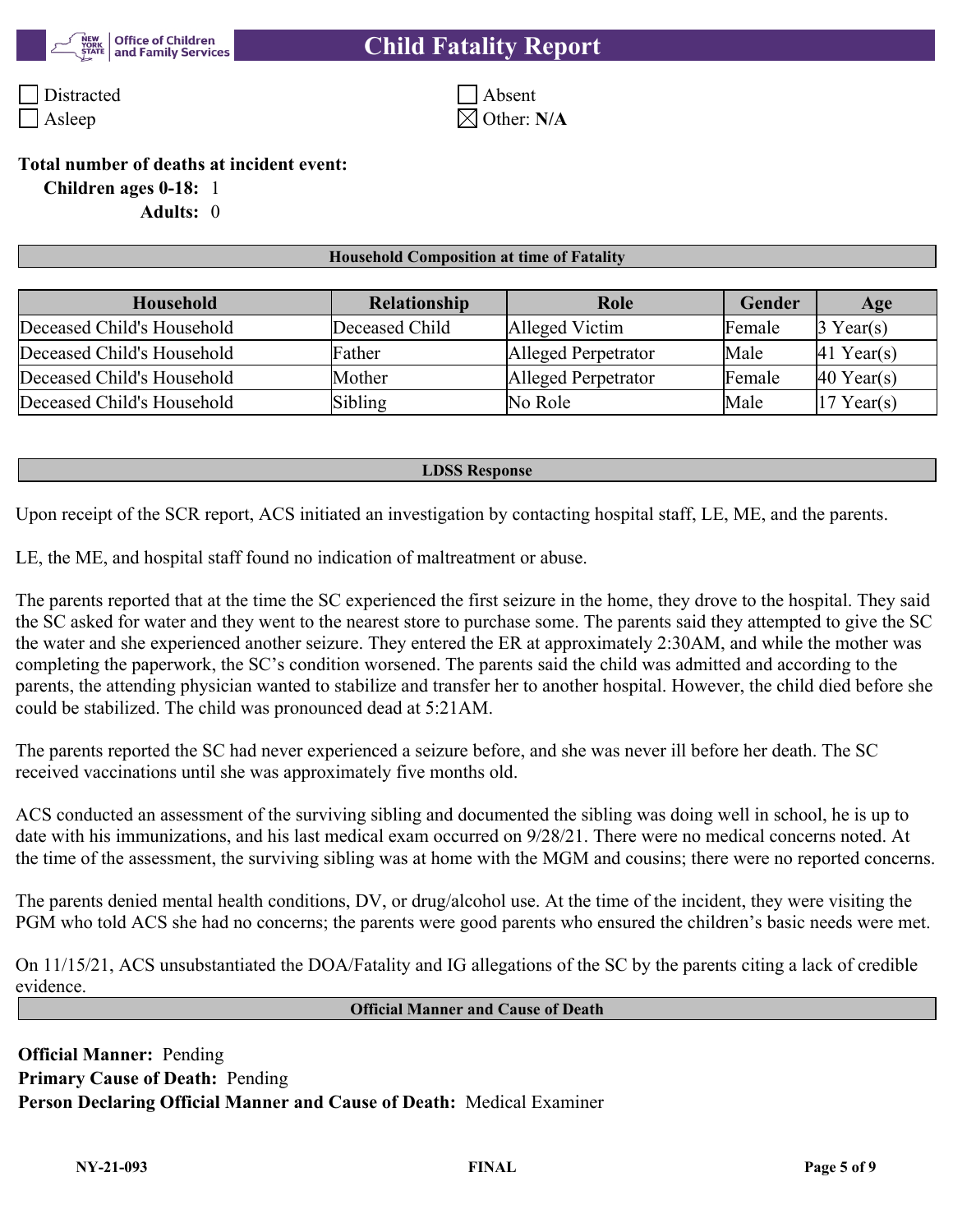

# **Child Fatality Report**

Distracted Absent Asleep  $\boxtimes$  Other: **N/A** 

#### **Total number of deaths at incident event:**

**Children ages 0-18:** 1

**Adults:** 0

#### **Household Composition at time of Fatality**

| Household                  | <b>Relationship</b> | Role                | <b>Gender</b> | Age                    |
|----------------------------|---------------------|---------------------|---------------|------------------------|
| Deceased Child's Household | Deceased Child      | Alleged Victim      | Female        | $\beta$ Year(s)        |
| Deceased Child's Household | Father              | Alleged Perpetrator | Male          | $ 41$ Year(s)          |
| Deceased Child's Household | Mother              | Alleged Perpetrator | Female        | $ 40 \text{ Year}(s) $ |
| Deceased Child's Household | Sibling             | No Role             | Male          | $17$ Year(s)           |

#### **LDSS Response**

Upon receipt of the SCR report, ACS initiated an investigation by contacting hospital staff, LE, ME, and the parents.

LE, the ME, and hospital staff found no indication of maltreatment or abuse.

The parents reported that at the time the SC experienced the first seizure in the home, they drove to the hospital. They said the SC asked for water and they went to the nearest store to purchase some. The parents said they attempted to give the SC the water and she experienced another seizure. They entered the ER at approximately 2:30AM, and while the mother was completing the paperwork, the SC's condition worsened. The parents said the child was admitted and according to the parents, the attending physician wanted to stabilize and transfer her to another hospital. However, the child died before she could be stabilized. The child was pronounced dead at 5:21AM.

The parents reported the SC had never experienced a seizure before, and she was never ill before her death. The SC received vaccinations until she was approximately five months old.

ACS conducted an assessment of the surviving sibling and documented the sibling was doing well in school, he is up to date with his immunizations, and his last medical exam occurred on 9/28/21. There were no medical concerns noted. At the time of the assessment, the surviving sibling was at home with the MGM and cousins; there were no reported concerns.

The parents denied mental health conditions, DV, or drug/alcohol use. At the time of the incident, they were visiting the PGM who told ACS she had no concerns; the parents were good parents who ensured the children's basic needs were met.

On 11/15/21, ACS unsubstantiated the DOA/Fatality and IG allegations of the SC by the parents citing a lack of credible evidence.

#### **Official Manner and Cause of Death**

**Official Manner:** Pending **Primary Cause of Death:** Pending **Person Declaring Official Manner and Cause of Death:** Medical Examiner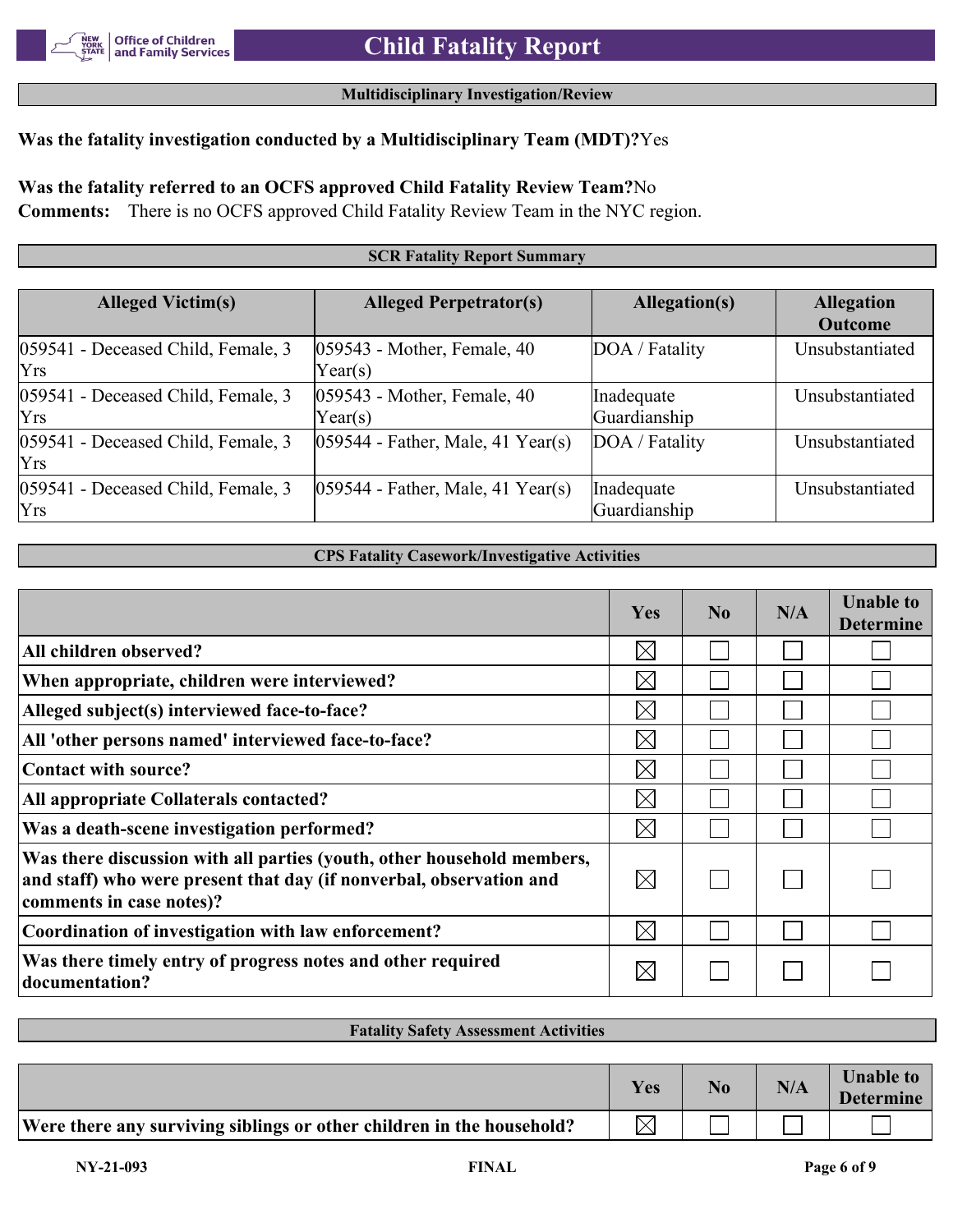### **Multidisciplinary Investigation/Review**

## **Was the fatality investigation conducted by a Multidisciplinary Team (MDT)?**Yes

**Was the fatality referred to an OCFS approved Child Fatality Review Team?**No

**Comments:** There is no OCFS approved Child Fatality Review Team in the NYC region.

#### **SCR Fatality Report Summary**

| <b>Alleged Victim(s)</b>                         | <b>Alleged Perpetrator(s)</b>             | Allegation(s)              | <b>Allegation</b><br><b>Outcome</b> |
|--------------------------------------------------|-------------------------------------------|----------------------------|-------------------------------------|
| 059541 - Deceased Child, Female, 3<br><b>Yrs</b> | $ 059543$ - Mother, Female, 40<br>Year(s) | DOA / Fatality             | Unsubstantiated                     |
| 059541 - Deceased Child, Female, 3<br><b>Yrs</b> | $ 059543$ - Mother, Female, 40<br>Year(s) | Inadequate<br>Guardianship | Unsubstantiated                     |
| 059541 - Deceased Child, Female, 3<br><b>Yrs</b> | $ 059544 - Father$ , Male, 41 Year(s)     | DOA / Fatality             | Unsubstantiated                     |
| 059541 - Deceased Child, Female, 3<br>Yrs        | $ 059544 - Father$ , Male, 41 Year(s)     | Inadequate<br>Guardianship | Unsubstantiated                     |

#### **CPS Fatality Casework/Investigative Activities**

|                                                                                                                                                                           | Yes         | $\bf No$ | N/A | <b>Unable to</b><br><b>Determine</b> |
|---------------------------------------------------------------------------------------------------------------------------------------------------------------------------|-------------|----------|-----|--------------------------------------|
| All children observed?                                                                                                                                                    | $\boxtimes$ |          |     |                                      |
| When appropriate, children were interviewed?                                                                                                                              | $\boxtimes$ |          |     |                                      |
| Alleged subject(s) interviewed face-to-face?                                                                                                                              | $\boxtimes$ |          |     |                                      |
| All 'other persons named' interviewed face-to-face?                                                                                                                       | $\boxtimes$ |          |     |                                      |
| Contact with source?                                                                                                                                                      | $\boxtimes$ |          |     |                                      |
| All appropriate Collaterals contacted?                                                                                                                                    | $\boxtimes$ |          |     |                                      |
| Was a death-scene investigation performed?                                                                                                                                | $\boxtimes$ |          |     |                                      |
| Was there discussion with all parties (youth, other household members,<br>and staff) who were present that day (if nonverbal, observation and<br>comments in case notes)? | $\bowtie$   |          |     |                                      |
| Coordination of investigation with law enforcement?                                                                                                                       | $\boxtimes$ |          |     |                                      |
| Was there timely entry of progress notes and other required<br>documentation?                                                                                             | $\boxtimes$ |          |     |                                      |

#### **Fatality Safety Assessment Activities**

|                                                                       | Yes         | N0 | N/A | <b>Unable to</b><br><b>Determine</b> |
|-----------------------------------------------------------------------|-------------|----|-----|--------------------------------------|
| Were there any surviving siblings or other children in the household? | $\boxtimes$ |    |     |                                      |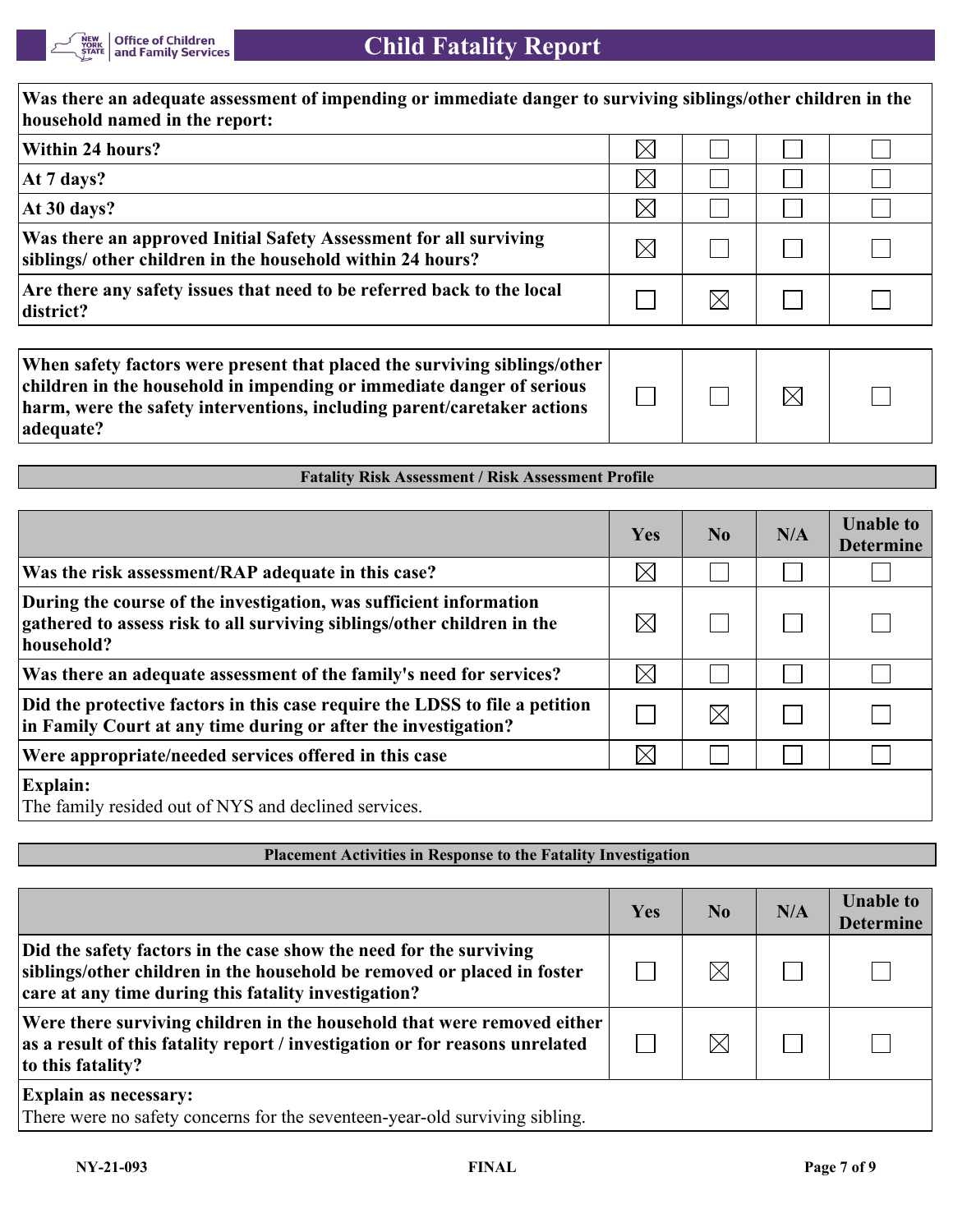

| Was there an adequate assessment of impending or immediate danger to surviving siblings/other children in the<br>household named in the report:                                                                                            |             |                |             |                                      |  |
|--------------------------------------------------------------------------------------------------------------------------------------------------------------------------------------------------------------------------------------------|-------------|----------------|-------------|--------------------------------------|--|
| Within 24 hours?                                                                                                                                                                                                                           | $\boxtimes$ |                |             |                                      |  |
| At 7 days?                                                                                                                                                                                                                                 | $\boxtimes$ |                |             |                                      |  |
| At 30 days?                                                                                                                                                                                                                                | $\times$    |                |             |                                      |  |
| Was there an approved Initial Safety Assessment for all surviving<br>siblings/ other children in the household within 24 hours?                                                                                                            | $\boxtimes$ |                |             |                                      |  |
| Are there any safety issues that need to be referred back to the local<br>district?                                                                                                                                                        |             | $\boxtimes$    |             |                                      |  |
| When safety factors were present that placed the surviving siblings/other<br>children in the household in impending or immediate danger of serious<br>harm, were the safety interventions, including parent/caretaker actions<br>adequate? |             |                | $\boxtimes$ |                                      |  |
| <b>Fatality Risk Assessment / Risk Assessment Profile</b>                                                                                                                                                                                  |             |                |             |                                      |  |
|                                                                                                                                                                                                                                            | Yes         | N <sub>0</sub> | N/A         | <b>Unable to</b><br><b>Determine</b> |  |

| Was the risk assessment/RAP adequate in this case?                                                                                                          | $\boxtimes$ |             |  |
|-------------------------------------------------------------------------------------------------------------------------------------------------------------|-------------|-------------|--|
| During the course of the investigation, was sufficient information<br>gathered to assess risk to all surviving siblings/other children in the<br>household? | $\boxtimes$ |             |  |
| Was there an adequate assessment of the family's need for services?                                                                                         | $\boxtimes$ |             |  |
| Did the protective factors in this case require the LDSS to file a petition<br>in Family Court at any time during or after the investigation?               |             | $\boxtimes$ |  |
| Were appropriate/needed services offered in this case                                                                                                       | $\boxtimes$ |             |  |
| <b>Explain:</b><br>The family resided out of NYS and declined services.                                                                                     |             |             |  |

| <b>Placement Activities in Response to the Fatality Investigation</b>                                                                                                                                 |     |                |     |                                      |  |  |
|-------------------------------------------------------------------------------------------------------------------------------------------------------------------------------------------------------|-----|----------------|-----|--------------------------------------|--|--|
|                                                                                                                                                                                                       |     |                |     |                                      |  |  |
|                                                                                                                                                                                                       | Yes | N <sub>0</sub> | N/A | <b>Unable to</b><br><b>Determine</b> |  |  |
| Did the safety factors in the case show the need for the surviving<br>siblings/other children in the household be removed or placed in foster<br>care at any time during this fatality investigation? |     |                |     |                                      |  |  |
| Were there surviving children in the household that were removed either<br>as a result of this fatality report / investigation or for reasons unrelated<br>to this fatality?                          |     |                |     |                                      |  |  |
| <b>Explain as necessary:</b><br>There were no safety concerns for the seventeen-year-old surviving sibling.                                                                                           |     |                |     |                                      |  |  |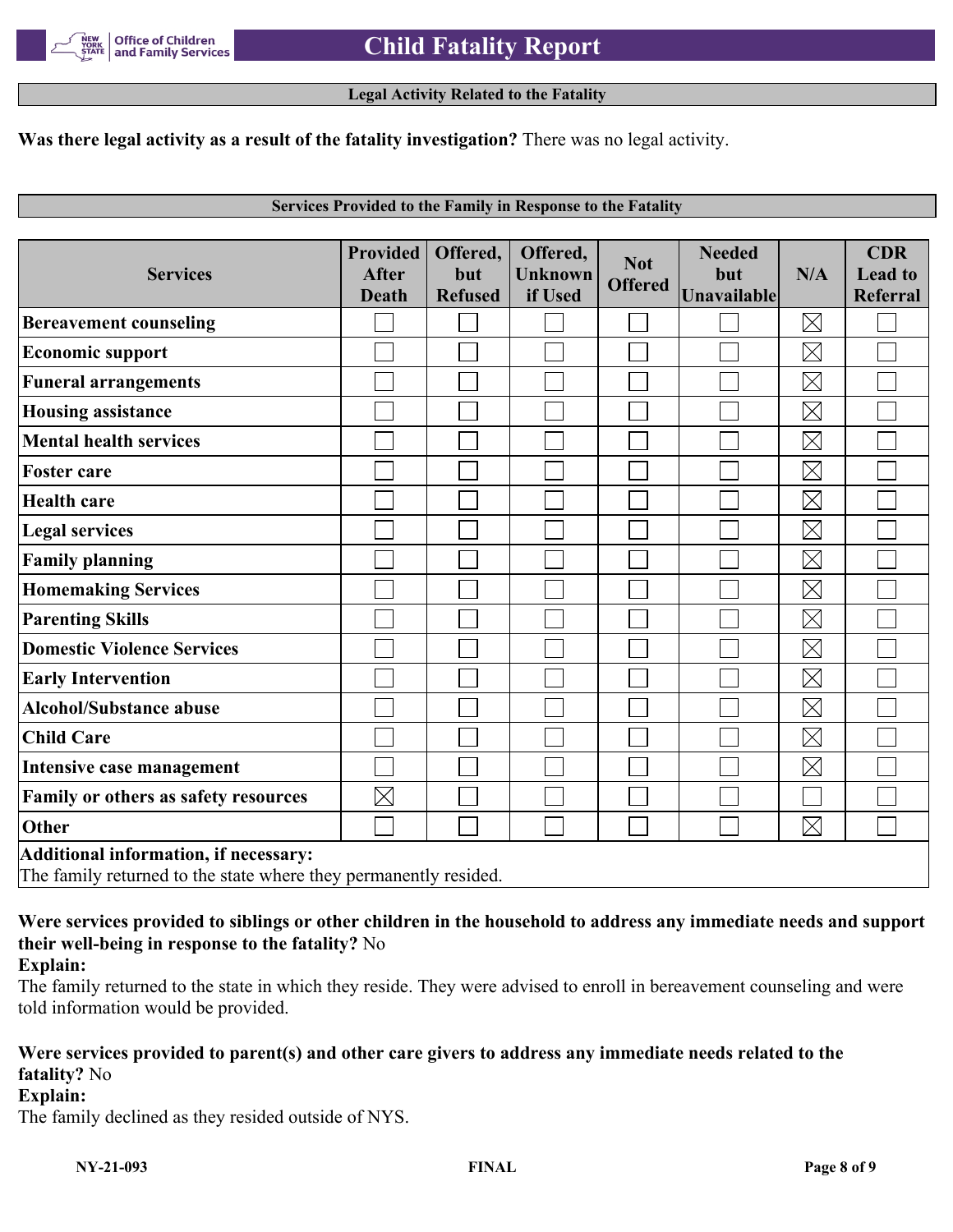

#### **Legal Activity Related to the Fatality**

#### **Was there legal activity as a result of the fatality investigation?** There was no legal activity.

#### **Services Provided to the Family in Response to the Fatality**

| <b>Services</b>                       | <b>Provided</b><br><b>After</b><br><b>Death</b>                  | Offered,<br>but<br><b>Refused</b> | Offered,<br>Unknown<br>if Used | <b>Not</b><br><b>Offered</b> | <b>Needed</b><br>but<br>Unavailable | N/A         | <b>CDR</b><br><b>Lead to</b><br><b>Referral</b> |  |
|---------------------------------------|------------------------------------------------------------------|-----------------------------------|--------------------------------|------------------------------|-------------------------------------|-------------|-------------------------------------------------|--|
| <b>Bereavement counseling</b>         |                                                                  |                                   |                                |                              |                                     | $\boxtimes$ |                                                 |  |
| <b>Economic support</b>               |                                                                  |                                   |                                |                              |                                     | $\boxtimes$ |                                                 |  |
| <b>Funeral arrangements</b>           |                                                                  |                                   |                                |                              |                                     | $\boxtimes$ |                                                 |  |
| <b>Housing assistance</b>             |                                                                  |                                   |                                |                              |                                     | $\boxtimes$ |                                                 |  |
| <b>Mental health services</b>         |                                                                  |                                   |                                |                              |                                     | $\boxtimes$ |                                                 |  |
| <b>Foster care</b>                    |                                                                  |                                   |                                |                              |                                     | $\boxtimes$ |                                                 |  |
| <b>Health care</b>                    |                                                                  |                                   |                                |                              |                                     | $\boxtimes$ |                                                 |  |
| <b>Legal services</b>                 |                                                                  |                                   |                                |                              |                                     | $\boxtimes$ |                                                 |  |
| <b>Family planning</b>                |                                                                  |                                   |                                |                              |                                     | $\boxtimes$ |                                                 |  |
| <b>Homemaking Services</b>            |                                                                  |                                   |                                |                              |                                     | $\boxtimes$ |                                                 |  |
| <b>Parenting Skills</b>               |                                                                  |                                   |                                |                              |                                     | $\boxtimes$ |                                                 |  |
| <b>Domestic Violence Services</b>     |                                                                  |                                   |                                |                              |                                     | $\boxtimes$ |                                                 |  |
| <b>Early Intervention</b>             |                                                                  |                                   |                                |                              |                                     | $\boxtimes$ |                                                 |  |
| <b>Alcohol/Substance abuse</b>        |                                                                  |                                   |                                |                              |                                     | $\boxtimes$ |                                                 |  |
| <b>Child Care</b>                     |                                                                  |                                   |                                |                              |                                     | $\boxtimes$ |                                                 |  |
| Intensive case management             |                                                                  |                                   |                                |                              |                                     | $\boxtimes$ |                                                 |  |
| Family or others as safety resources  | $\boxtimes$                                                      |                                   |                                |                              |                                     |             |                                                 |  |
| <b>Other</b>                          |                                                                  |                                   |                                |                              |                                     | $\boxtimes$ |                                                 |  |
| Additional information, if necessary: | The family returned to the state where they permanently resided. |                                   |                                |                              |                                     |             |                                                 |  |

# **Were services provided to siblings or other children in the household to address any immediate needs and support their well-being in response to the fatality?** No

## **Explain:**

The family returned to the state in which they reside. They were advised to enroll in bereavement counseling and were told information would be provided.

# **Were services provided to parent(s) and other care givers to address any immediate needs related to the fatality?** No

#### **Explain:**

The family declined as they resided outside of NYS.